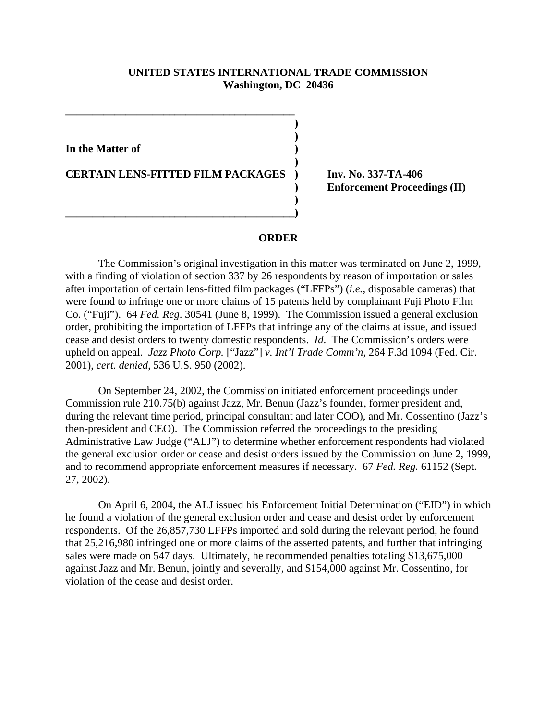## **UNITED STATES INTERNATIONAL TRADE COMMISSION Washington, DC 20436**

**) )**

**)**

**)** 

**In the Matter of )**

**CERTAIN LENS-FITTED FILM PACKAGES ) Inv. No. 337-TA-406**

**\_\_\_\_\_\_\_\_\_\_\_\_\_\_\_\_\_\_\_\_\_\_\_\_\_\_\_\_\_\_\_\_\_\_\_\_\_\_\_\_\_\_)**

**\_\_\_\_\_\_\_\_\_\_\_\_\_\_\_\_\_\_\_\_\_\_\_\_\_\_\_\_\_\_\_\_\_\_\_\_\_\_\_\_\_\_**

**) Enforcement Proceedings (II)**

## **ORDER**

The Commission's original investigation in this matter was terminated on June 2, 1999, with a finding of violation of section 337 by 26 respondents by reason of importation or sales after importation of certain lens-fitted film packages ("LFFPs") (*i.e.*, disposable cameras) that were found to infringe one or more claims of 15 patents held by complainant Fuji Photo Film Co. ("Fuji"). 64 *Fed. Reg*. 30541 (June 8, 1999). The Commission issued a general exclusion order, prohibiting the importation of LFFPs that infringe any of the claims at issue, and issued cease and desist orders to twenty domestic respondents. *Id*. The Commission's orders were upheld on appeal. *Jazz Photo Corp.* ["Jazz"] *v. Int'l Trade Comm'n*, 264 F.3d 1094 (Fed. Cir. 2001), *cert. denied*, 536 U.S. 950 (2002).

On September 24, 2002, the Commission initiated enforcement proceedings under Commission rule 210.75(b) against Jazz, Mr. Benun (Jazz's founder, former president and, during the relevant time period, principal consultant and later COO), and Mr. Cossentino (Jazz's then-president and CEO). The Commission referred the proceedings to the presiding Administrative Law Judge ("ALJ") to determine whether enforcement respondents had violated the general exclusion order or cease and desist orders issued by the Commission on June 2, 1999, and to recommend appropriate enforcement measures if necessary. 67 *Fed. Reg.* 61152 (Sept. 27, 2002).

On April 6, 2004, the ALJ issued his Enforcement Initial Determination ("EID") in which he found a violation of the general exclusion order and cease and desist order by enforcement respondents. Of the 26,857,730 LFFPs imported and sold during the relevant period, he found that 25,216,980 infringed one or more claims of the asserted patents, and further that infringing sales were made on 547 days. Ultimately, he recommended penalties totaling \$13,675,000 against Jazz and Mr. Benun, jointly and severally, and \$154,000 against Mr. Cossentino, for violation of the cease and desist order.